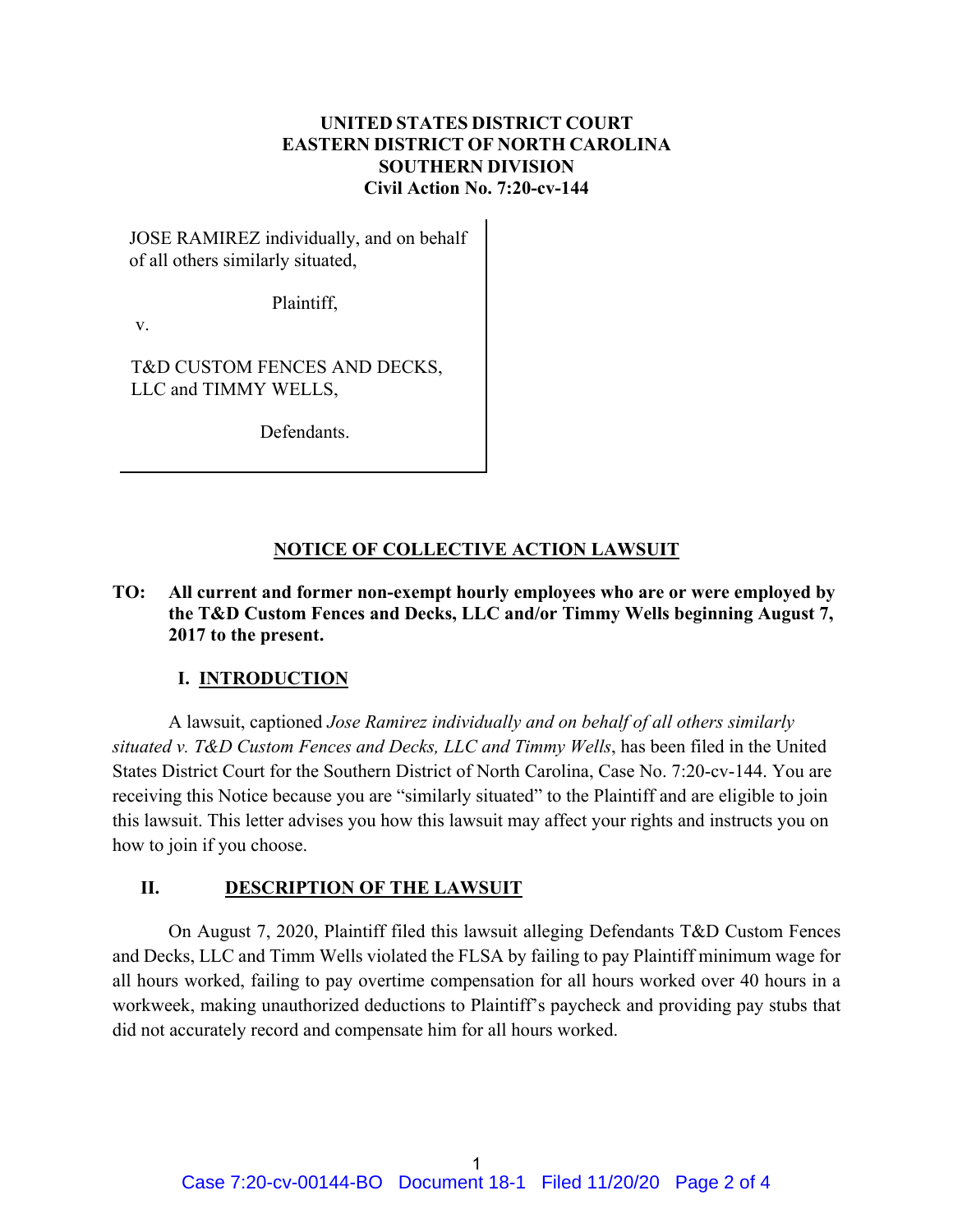## **UNITED STATES DISTRICT COURT EASTERN DISTRICT OF NORTH CAROLINA SOUTHERN DIVISION Civil Action No. 7:20-cv-144**

JOSE RAMIREZ individually, and on behalf of all others similarly situated,

Plaintiff,

v.

T&D CUSTOM FENCES AND DECKS, LLC and TIMMY WELLS,

Defendants.

## **NOTICE OF COLLECTIVE ACTION LAWSUIT**

## **TO: All current and former non-exempt hourly employees who are or were employed by the T&D Custom Fences and Decks, LLC and/or Timmy Wells beginning August 7, 2017 to the present.**

## **I. INTRODUCTION**

A lawsuit, captioned *Jose Ramirez individually and on behalf of all others similarly situated v. T&D Custom Fences and Decks, LLC and Timmy Wells*, has been filed in the United States District Court for the Southern District of North Carolina, Case No. 7:20-cv-144. You are receiving this Notice because you are "similarly situated" to the Plaintiff and are eligible to join this lawsuit. This letter advises you how this lawsuit may affect your rights and instructs you on how to join if you choose.

## **II. DESCRIPTION OF THE LAWSUIT**

On August 7, 2020, Plaintiff filed this lawsuit alleging Defendants T&D Custom Fences and Decks, LLC and Timm Wells violated the FLSA by failing to pay Plaintiff minimum wage for all hours worked, failing to pay overtime compensation for all hours worked over 40 hours in a workweek, making unauthorized deductions to Plaintiff's paycheck and providing pay stubs that did not accurately record and compensate him for all hours worked.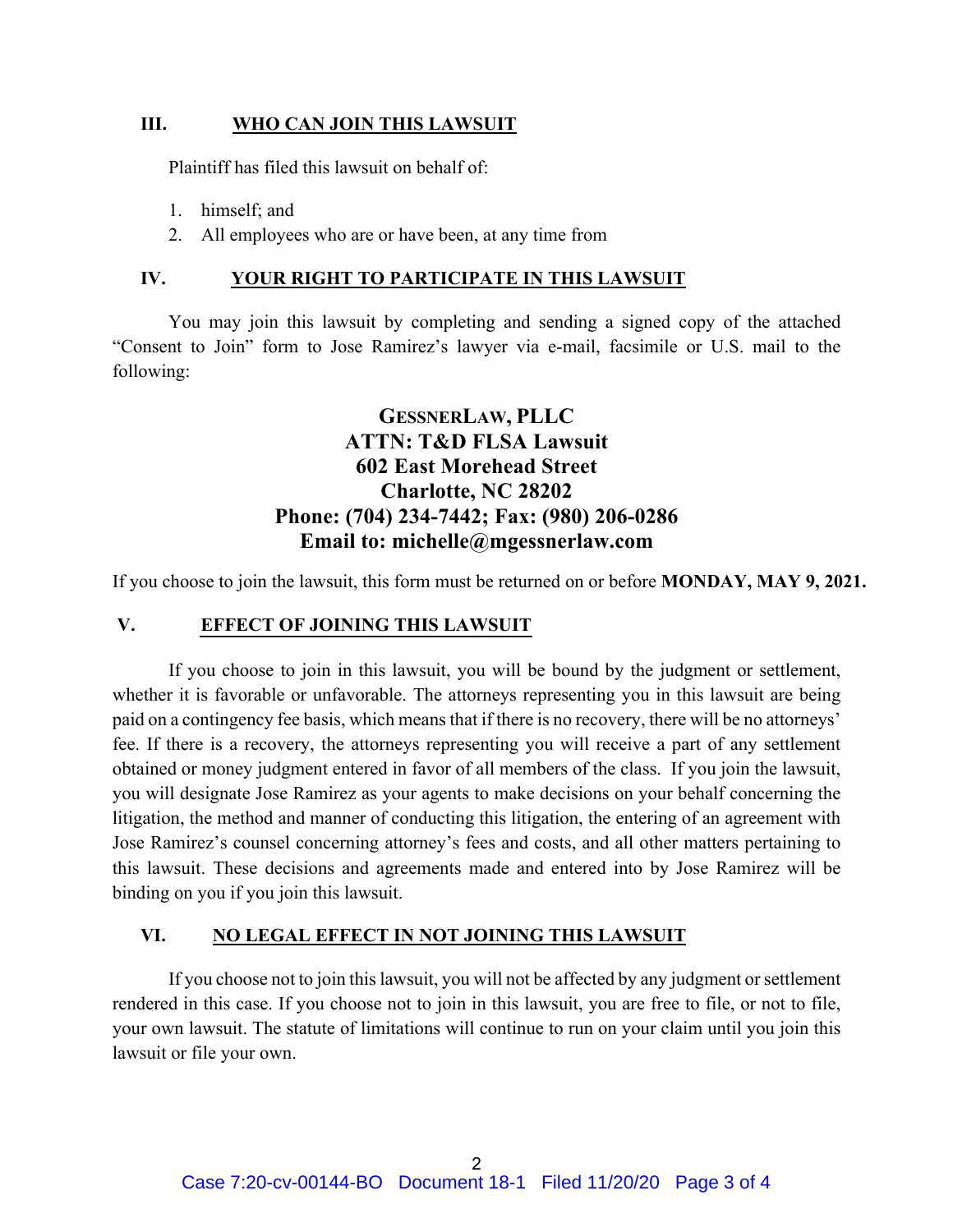### **III. WHO CAN JOIN THIS LAWSUIT**

Plaintiff has filed this lawsuit on behalf of:

- 1. himself; and
- 2. All employees who are or have been, at any time from

### **IV. YOUR RIGHT TO PARTICIPATE IN THIS LAWSUIT**

You may join this lawsuit by completing and sending a signed copy of the attached "Consent to Join" form to Jose Ramirez's lawyer via e-mail, facsimile or U.S. mail to the following:

# **GESSNERLAW, PLLC ATTN: T&D FLSA Lawsuit 602 East Morehead Street Charlotte, NC 28202 Phone: (704) 234-7442; Fax: (980) 206-0286 Email to: michelle@mgessnerlaw.com**

If you choose to join the lawsuit, this form must be returned on or before **MONDAY, MAY 9, 2021.**

### **V. EFFECT OF JOINING THIS LAWSUIT**

If you choose to join in this lawsuit, you will be bound by the judgment or settlement, whether it is favorable or unfavorable. The attorneys representing you in this lawsuit are being paid on a contingency fee basis, which means that if there is no recovery, there will be no attorneys' fee. If there is a recovery, the attorneys representing you will receive a part of any settlement obtained or money judgment entered in favor of all members of the class. If you join the lawsuit, you will designate Jose Ramirez as your agents to make decisions on your behalf concerning the litigation, the method and manner of conducting this litigation, the entering of an agreement with Jose Ramirez's counsel concerning attorney's fees and costs, and all other matters pertaining to this lawsuit. These decisions and agreements made and entered into by Jose Ramirez will be binding on you if you join this lawsuit.

#### **VI. NO LEGAL EFFECT IN NOT JOINING THIS LAWSUIT**

If you choose not to join this lawsuit, you will not be affected by any judgment or settlement rendered in this case. If you choose not to join in this lawsuit, you are free to file, or not to file, your own lawsuit. The statute of limitations will continue to run on your claim until you join this lawsuit or file your own.